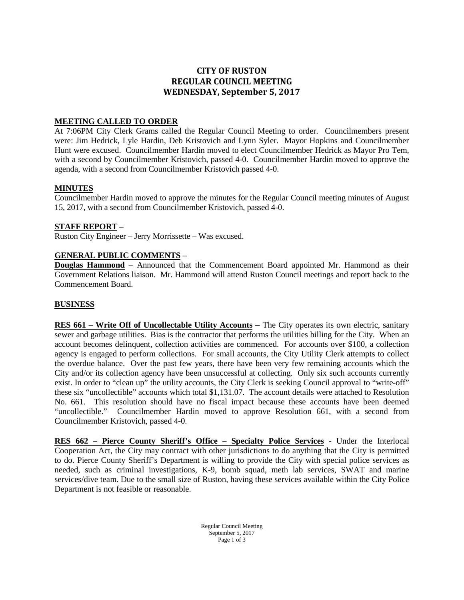# **CITY OF RUSTON REGULAR COUNCIL MEETING WEDNESDAY, September 5, 2017**

## **MEETING CALLED TO ORDER**

At 7:06PM City Clerk Grams called the Regular Council Meeting to order. Councilmembers present were: Jim Hedrick, Lyle Hardin, Deb Kristovich and Lynn Syler. Mayor Hopkins and Councilmember Hunt were excused. Councilmember Hardin moved to elect Councilmember Hedrick as Mayor Pro Tem, with a second by Councilmember Kristovich, passed 4-0. Councilmember Hardin moved to approve the agenda, with a second from Councilmember Kristovich passed 4-0.

#### **MINUTES**

Councilmember Hardin moved to approve the minutes for the Regular Council meeting minutes of August 15, 2017, with a second from Councilmember Kristovich, passed 4-0.

#### **STAFF REPORT** –

Ruston City Engineer – Jerry Morrissette – Was excused.

#### **GENERAL PUBLIC COMMENTS** –

**Douglas Hammond** – Announced that the Commencement Board appointed Mr. Hammond as their Government Relations liaison. Mr. Hammond will attend Ruston Council meetings and report back to the Commencement Board.

### **BUSINESS**

**RES 661 – Write Off of Uncollectable Utility Accounts** – The City operates its own electric, sanitary sewer and garbage utilities. Bias is the contractor that performs the utilities billing for the City. When an account becomes delinquent, collection activities are commenced. For accounts over \$100, a collection agency is engaged to perform collections. For small accounts, the City Utility Clerk attempts to collect the overdue balance. Over the past few years, there have been very few remaining accounts which the City and/or its collection agency have been unsuccessful at collecting. Only six such accounts currently exist. In order to "clean up" the utility accounts, the City Clerk is seeking Council approval to "write-off" these six "uncollectible" accounts which total \$1,131.07. The account details were attached to Resolution No. 661. This resolution should have no fiscal impact because these accounts have been deemed "uncollectible." Councilmember Hardin moved to approve Resolution 661, with a second from Councilmember Kristovich, passed 4-0.

**RES 662 – Pierce County Sheriff's Office – Specialty Police Services** - Under the Interlocal Cooperation Act, the City may contract with other jurisdictions to do anything that the City is permitted to do. Pierce County Sheriff's Department is willing to provide the City with special police services as needed, such as criminal investigations, K-9, bomb squad, meth lab services, SWAT and marine services/dive team. Due to the small size of Ruston, having these services available within the City Police Department is not feasible or reasonable.

> Regular Council Meeting September 5, 2017 Page 1 of 3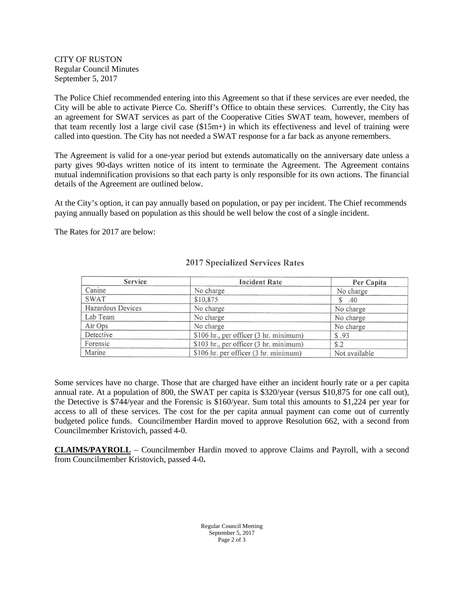CITY OF RUSTON Regular Council Minutes September 5, 2017

The Police Chief recommended entering into this Agreement so that if these services are ever needed, the City will be able to activate Pierce Co. Sheriff's Office to obtain these services. Currently, the City has an agreement for SWAT services as part of the Cooperative Cities SWAT team, however, members of that team recently lost a large civil case (\$15m+) in which its effectiveness and level of training were called into question. The City has not needed a SWAT response for a far back as anyone remembers.

The Agreement is valid for a one-year period but extends automatically on the anniversary date unless a party gives 90-days written notice of its intent to terminate the Agreement. The Agreement contains mutual indemnification provisions so that each party is only responsible for its own actions. The financial details of the Agreement are outlined below.

At the City's option, it can pay annually based on population, or pay per incident. The Chief recommends paying annually based on population as this should be well below the cost of a single incident.

The Rates for 2017 are below:

| Service           | <b>Incident Rate</b>                   | Per Capita    |
|-------------------|----------------------------------------|---------------|
| Canine            | No charge                              | No charge     |
| <b>SWAT</b>       | \$10,875                               | \$.40         |
| Hazardous Devices | No charge                              | No charge     |
| Lab Team          | No charge                              | No charge     |
| Air Ops           | No charge                              | No charge     |
| Detective         | \$106 hr., per officer (3 hr. minimum) | \$.93         |
| Forensic          | \$103 hr., per officer (3 hr. minimum) | \$.2          |
| Marine            | \$106 hr. per officer (3 hr. minimum)  | Not available |

## **2017 Specialized Services Rates**

Some services have no charge. Those that are charged have either an incident hourly rate or a per capita annual rate. At a population of 800, the SWAT per capita is \$320/year (versus \$10,875 for one call out), the Detective is \$744/year and the Forensic is \$160/year. Sum total this amounts to \$1,224 per year for access to all of these services. The cost for the per capita annual payment can come out of currently budgeted police funds. Councilmember Hardin moved to approve Resolution 662, with a second from Councilmember Kristovich, passed 4-0.

**CLAIMS/PAYROLL** – Councilmember Hardin moved to approve Claims and Payroll, with a second from Councilmember Kristovich, passed 4-0**.**